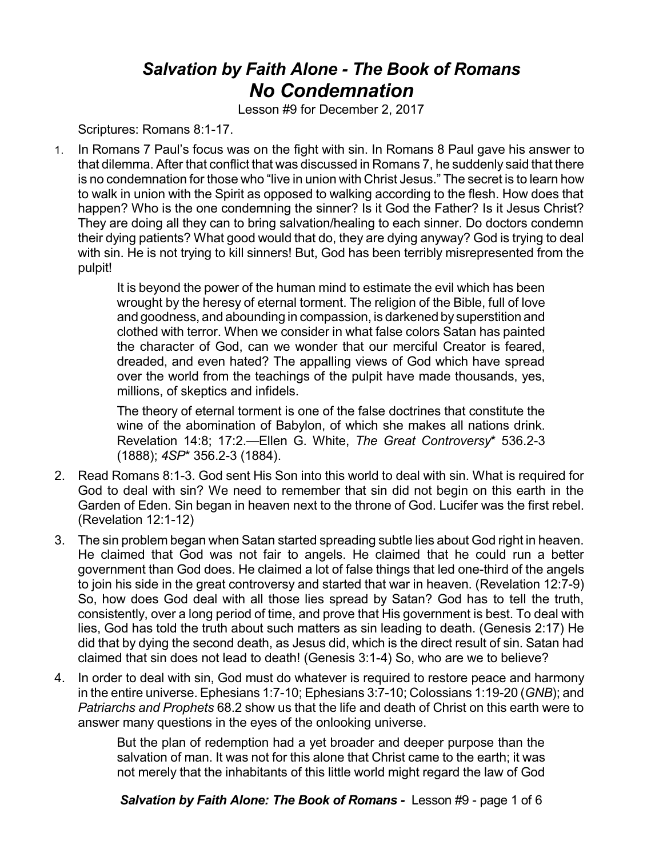## *Salvation by Faith Alone - The Book of Romans No Condemnation*

Lesson #9 for December 2, 2017

Scriptures: Romans 8:1-17.

1. In Romans 7 Paul's focus was on the fight with sin. In Romans 8 Paul gave his answer to that dilemma. After that conflict that was discussed in Romans 7, he suddenly said that there is no condemnation for those who "live in union with Christ Jesus." The secret is to learn how to walk in union with the Spirit as opposed to walking according to the flesh. How does that happen? Who is the one condemning the sinner? Is it God the Father? Is it Jesus Christ? They are doing all they can to bring salvation/healing to each sinner. Do doctors condemn their dying patients? What good would that do, they are dying anyway? God is trying to deal with sin. He is not trying to kill sinners! But, God has been terribly misrepresented from the pulpit!

> It is beyond the power of the human mind to estimate the evil which has been wrought by the heresy of eternal torment. The religion of the Bible, full of love and goodness, and abounding in compassion, is darkened by superstition and clothed with terror. When we consider in what false colors Satan has painted the character of God, can we wonder that our merciful Creator is feared, dreaded, and even hated? The appalling views of God which have spread over the world from the teachings of the pulpit have made thousands, yes, millions, of skeptics and infidels.

> The theory of eternal torment is one of the false doctrines that constitute the wine of the abomination of Babylon, of which she makes all nations drink. Revelation 14:8; 17:2.—Ellen G. White, *The Great Controversy*\* 536.2-3 (1888); *4SP*\* 356.2-3 (1884).

- 2. Read Romans 8:1-3. God sent His Son into this world to deal with sin. What is required for God to deal with sin? We need to remember that sin did not begin on this earth in the Garden of Eden. Sin began in heaven next to the throne of God. Lucifer was the first rebel. (Revelation 12:1-12)
- 3. The sin problem began when Satan started spreading subtle lies about God right in heaven. He claimed that God was not fair to angels. He claimed that he could run a better government than God does. He claimed a lot of false things that led one-third of the angels to join his side in the great controversy and started that war in heaven. (Revelation 12:7-9) So, how does God deal with all those lies spread by Satan? God has to tell the truth, consistently, over a long period of time, and prove that His government is best. To deal with lies, God has told the truth about such matters as sin leading to death. (Genesis 2:17) He did that by dying the second death, as Jesus did, which is the direct result of sin. Satan had claimed that sin does not lead to death! (Genesis 3:1-4) So, who are we to believe?
- 4. In order to deal with sin, God must do whatever is required to restore peace and harmony in the entire universe. Ephesians 1:7-10; Ephesians 3:7-10; Colossians 1:19-20 (*GNB*); and *Patriarchs and Prophets* 68.2 show us that the life and death of Christ on this earth were to answer many questions in the eyes of the onlooking universe.

But the plan of redemption had a yet broader and deeper purpose than the salvation of man. It was not for this alone that Christ came to the earth; it was not merely that the inhabitants of this little world might regard the law of God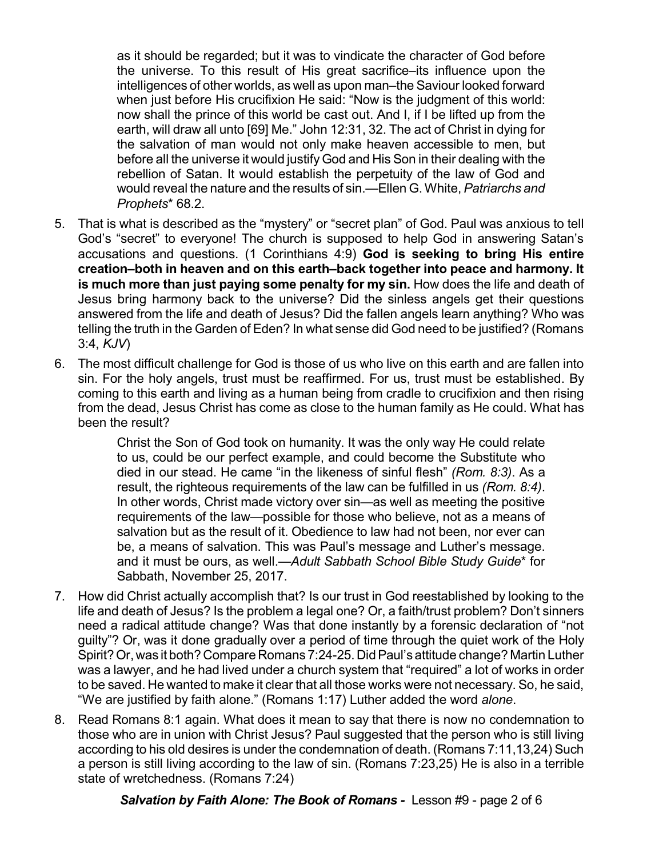as it should be regarded; but it was to vindicate the character of God before the universe. To this result of His great sacrifice–its influence upon the intelligences of other worlds, as well as upon man–the Saviour looked forward when just before His crucifixion He said: "Now is the judgment of this world: now shall the prince of this world be cast out. And I, if I be lifted up from the earth, will draw all unto [69] Me." John 12:31, 32. The act of Christ in dying for the salvation of man would not only make heaven accessible to men, but before all the universe it would justify God and His Son in their dealing with the rebellion of Satan. It would establish the perpetuity of the law of God and would reveal the nature and the results of sin.—Ellen G. White, *Patriarchs and Prophets*\* 68.2.

- 5. That is what is described as the "mystery" or "secret plan" of God. Paul was anxious to tell God's "secret" to everyone! The church is supposed to help God in answering Satan's accusations and questions. (1 Corinthians 4:9) **God is seeking to bring His entire creation–both in heaven and on this earth–back together into peace and harmony. It is much more than just paying some penalty for my sin.** How does the life and death of Jesus bring harmony back to the universe? Did the sinless angels get their questions answered from the life and death of Jesus? Did the fallen angels learn anything? Who was telling the truth in the Garden of Eden? In what sense did God need to be justified? (Romans 3:4, *KJV*)
- 6. The most difficult challenge for God is those of us who live on this earth and are fallen into sin. For the holy angels, trust must be reaffirmed. For us, trust must be established. By coming to this earth and living as a human being from cradle to crucifixion and then rising from the dead, Jesus Christ has come as close to the human family as He could. What has been the result?

Christ the Son of God took on humanity. It was the only way He could relate to us, could be our perfect example, and could become the Substitute who died in our stead. He came "in the likeness of sinful flesh" *(Rom. 8:3)*. As a result, the righteous requirements of the law can be fulfilled in us *(Rom. 8:4)*. In other words, Christ made victory over sin—as well as meeting the positive requirements of the law—possible for those who believe, not as a means of salvation but as the result of it. Obedience to law had not been, nor ever can be, a means of salvation. This was Paul's message and Luther's message. and it must be ours, as well.—*Adult Sabbath School Bible Study Guide*\* for Sabbath, November 25, 2017.

- 7. How did Christ actually accomplish that? Is our trust in God reestablished by looking to the life and death of Jesus? Is the problem a legal one? Or, a faith/trust problem? Don't sinners need a radical attitude change? Was that done instantly by a forensic declaration of "not guilty"? Or, was it done gradually over a period of time through the quiet work of the Holy Spirit? Or, was it both? Compare Romans 7:24-25. Did Paul's attitude change? Martin Luther was a lawyer, and he had lived under a church system that "required" a lot of works in order to be saved. He wanted to make it clear that all those works were not necessary. So, he said, "We are justified by faith alone." (Romans 1:17) Luther added the word *alone*.
- 8. Read Romans 8:1 again. What does it mean to say that there is now no condemnation to those who are in union with Christ Jesus? Paul suggested that the person who is still living according to his old desires is under the condemnation of death. (Romans 7:11,13,24) Such a person is still living according to the law of sin. (Romans 7:23,25) He is also in a terrible state of wretchedness. (Romans 7:24)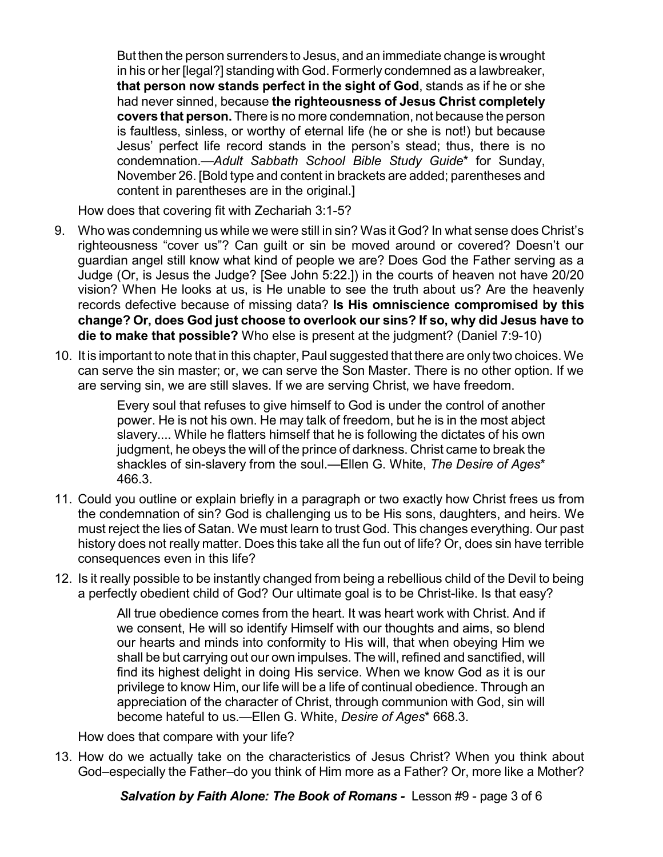But then the person surrenders to Jesus, and an immediate change is wrought in his or her [legal?] standing with God. Formerly condemned as a lawbreaker, **that person now stands perfect in the sight of God**, stands as if he or she had never sinned, because **the righteousness of Jesus Christ completely covers that person.** There is no more condemnation, not because the person is faultless, sinless, or worthy of eternal life (he or she is not!) but because Jesus' perfect life record stands in the person's stead; thus, there is no condemnation.—*Adult Sabbath School Bible Study Guide*\* for Sunday, November 26. [Bold type and content in brackets are added; parentheses and content in parentheses are in the original.]

How does that covering fit with Zechariah 3:1-5?

- 9. Who was condemning us while we were still in sin? Was it God? In what sense does Christ's righteousness "cover us"? Can guilt or sin be moved around or covered? Doesn't our guardian angel still know what kind of people we are? Does God the Father serving as a Judge (Or, is Jesus the Judge? [See John 5:22.]) in the courts of heaven not have 20/20 vision? When He looks at us, is He unable to see the truth about us? Are the heavenly records defective because of missing data? **Is His omniscience compromised by this change? Or, does God just choose to overlook our sins? If so, why did Jesus have to die to make that possible?** Who else is present at the judgment? (Daniel 7:9-10)
- 10. It is important to note that in this chapter, Paul suggested that there are only two choices. We can serve the sin master; or, we can serve the Son Master. There is no other option. If we are serving sin, we are still slaves. If we are serving Christ, we have freedom.

Every soul that refuses to give himself to God is under the control of another power. He is not his own. He may talk of freedom, but he is in the most abject slavery.... While he flatters himself that he is following the dictates of his own judgment, he obeys the will of the prince of darkness. Christ came to break the shackles of sin-slavery from the soul.—Ellen G. White, *The Desire of Ages*\* 466.3.

- 11. Could you outline or explain briefly in a paragraph or two exactly how Christ frees us from the condemnation of sin? God is challenging us to be His sons, daughters, and heirs. We must reject the lies of Satan. We must learn to trust God. This changes everything. Our past history does not really matter. Does this take all the fun out of life? Or, does sin have terrible consequences even in this life?
- 12. Is it really possible to be instantly changed from being a rebellious child of the Devil to being a perfectly obedient child of God? Our ultimate goal is to be Christ-like. Is that easy?

All true obedience comes from the heart. It was heart work with Christ. And if we consent, He will so identify Himself with our thoughts and aims, so blend our hearts and minds into conformity to His will, that when obeying Him we shall be but carrying out our own impulses. The will, refined and sanctified, will find its highest delight in doing His service. When we know God as it is our privilege to know Him, our life will be a life of continual obedience. Through an appreciation of the character of Christ, through communion with God, sin will become hateful to us.—Ellen G. White, *Desire of Ages*\* 668.3.

How does that compare with your life?

13. How do we actually take on the characteristics of Jesus Christ? When you think about God–especially the Father–do you think of Him more as a Father? Or, more like a Mother?

*Salvation by Faith Alone: The Book of Romans -* Lesson #9 - page 3 of 6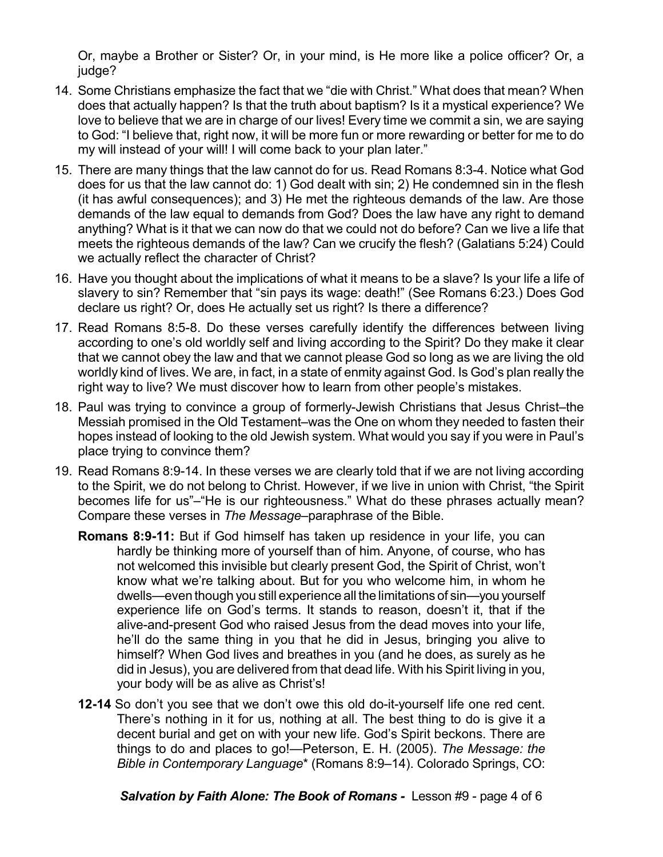Or, maybe a Brother or Sister? Or, in your mind, is He more like a police officer? Or, a judge?

- 14. Some Christians emphasize the fact that we "die with Christ." What does that mean? When does that actually happen? Is that the truth about baptism? Is it a mystical experience? We love to believe that we are in charge of our lives! Every time we commit a sin, we are saying to God: "I believe that, right now, it will be more fun or more rewarding or better for me to do my will instead of your will! I will come back to your plan later."
- 15. There are many things that the law cannot do for us. Read Romans 8:3-4. Notice what God does for us that the law cannot do: 1) God dealt with sin; 2) He condemned sin in the flesh (it has awful consequences); and 3) He met the righteous demands of the law. Are those demands of the law equal to demands from God? Does the law have any right to demand anything? What is it that we can now do that we could not do before? Can we live a life that meets the righteous demands of the law? Can we crucify the flesh? (Galatians 5:24) Could we actually reflect the character of Christ?
- 16. Have you thought about the implications of what it means to be a slave? Is your life a life of slavery to sin? Remember that "sin pays its wage: death!" (See Romans 6:23.) Does God declare us right? Or, does He actually set us right? Is there a difference?
- 17. Read Romans 8:5-8. Do these verses carefully identify the differences between living according to one's old worldly self and living according to the Spirit? Do they make it clear that we cannot obey the law and that we cannot please God so long as we are living the old worldly kind of lives. We are, in fact, in a state of enmity against God. Is God's plan really the right way to live? We must discover how to learn from other people's mistakes.
- 18. Paul was trying to convince a group of formerly-Jewish Christians that Jesus Christ–the Messiah promised in the Old Testament–was the One on whom they needed to fasten their hopes instead of looking to the old Jewish system. What would you say if you were in Paul's place trying to convince them?
- 19. Read Romans 8:9-14. In these verses we are clearly told that if we are not living according to the Spirit, we do not belong to Christ. However, if we live in union with Christ, "the Spirit becomes life for us"–"He is our righteousness." What do these phrases actually mean? Compare these verses in *The Message–*paraphrase of the Bible.
	- **Romans 8:9-11:** But if God himself has taken up residence in your life, you can hardly be thinking more of yourself than of him. Anyone, of course, who has not welcomed this invisible but clearly present God, the Spirit of Christ, won't know what we're talking about. But for you who welcome him, in whom he dwells—even though you still experience all the limitations of sin—you yourself experience life on God's terms. It stands to reason, doesn't it, that if the alive-and-present God who raised Jesus from the dead moves into your life, he'll do the same thing in you that he did in Jesus, bringing you alive to himself? When God lives and breathes in you (and he does, as surely as he did in Jesus), you are delivered from that dead life. With his Spirit living in you, your body will be as alive as Christ's!
	- **12-14** So don't you see that we don't owe this old do-it-yourself life one red cent. There's nothing in it for us, nothing at all. The best thing to do is give it a decent burial and get on with your new life. God's Spirit beckons. There are things to do and places to go!—Peterson, E. H. (2005). *The Message: the Bible in Contemporary Language*\* (Romans 8:9–14). Colorado Springs, CO:

*Salvation by Faith Alone: The Book of Romans -* Lesson #9 - page 4 of 6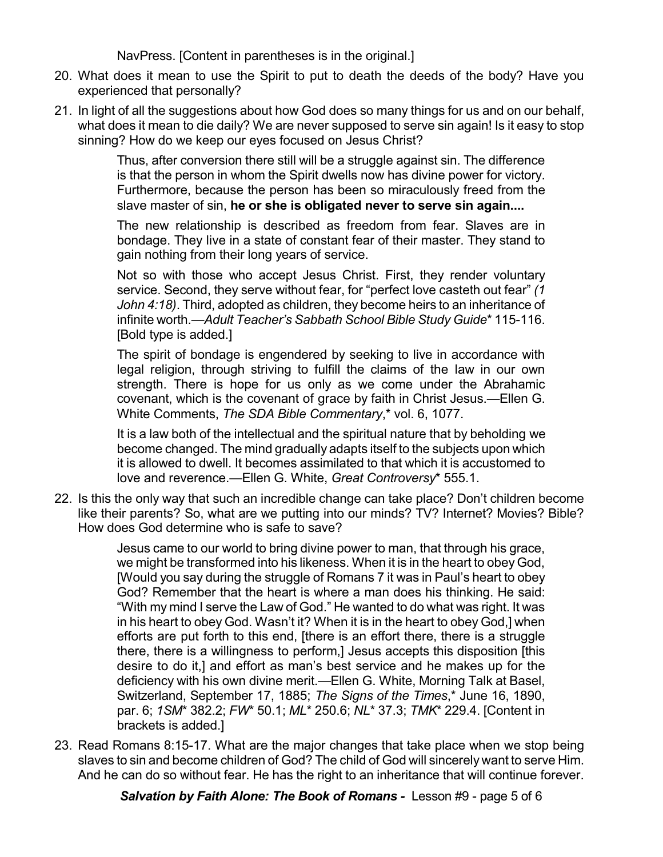NavPress. [Content in parentheses is in the original.]

- 20. What does it mean to use the Spirit to put to death the deeds of the body? Have you experienced that personally?
- 21. In light of all the suggestions about how God does so many things for us and on our behalf, what does it mean to die daily? We are never supposed to serve sin again! Is it easy to stop sinning? How do we keep our eyes focused on Jesus Christ?

Thus, after conversion there still will be a struggle against sin. The difference is that the person in whom the Spirit dwells now has divine power for victory. Furthermore, because the person has been so miraculously freed from the slave master of sin, **he or she is obligated never to serve sin again....**

The new relationship is described as freedom from fear. Slaves are in bondage. They live in a state of constant fear of their master. They stand to gain nothing from their long years of service.

Not so with those who accept Jesus Christ. First, they render voluntary service. Second, they serve without fear, for "perfect love casteth out fear" *(1 John 4:18)*. Third, adopted as children, they become heirs to an inheritance of infinite worth.—*Adult Teacher's Sabbath School Bible Study Guide*\* 115-116. [Bold type is added.]

The spirit of bondage is engendered by seeking to live in accordance with legal religion, through striving to fulfill the claims of the law in our own strength. There is hope for us only as we come under the Abrahamic covenant, which is the covenant of grace by faith in Christ Jesus.—Ellen G. White Comments, *The SDA Bible Commentary*,\* vol. 6, 1077.

It is a law both of the intellectual and the spiritual nature that by beholding we become changed. The mind gradually adapts itself to the subjects upon which it is allowed to dwell. It becomes assimilated to that which it is accustomed to love and reverence.—Ellen G. White, *Great Controversy*\* 555.1.

22. Is this the only way that such an incredible change can take place? Don't children become like their parents? So, what are we putting into our minds? TV? Internet? Movies? Bible? How does God determine who is safe to save?

> Jesus came to our world to bring divine power to man, that through his grace, we might be transformed into his likeness. When it is in the heart to obey God, [Would you say during the struggle of Romans 7 it was in Paul's heart to obey God? Remember that the heart is where a man does his thinking. He said: "With my mind I serve the Law of God." He wanted to do what was right. It was in his heart to obey God. Wasn't it? When it is in the heart to obey God,] when efforts are put forth to this end, [there is an effort there, there is a struggle there, there is a willingness to perform,] Jesus accepts this disposition [this desire to do it,] and effort as man's best service and he makes up for the deficiency with his own divine merit.—Ellen G. White, Morning Talk at Basel, Switzerland, September 17, 1885; *The Signs of the Times*,\* June 16, 1890, par. 6; *1SM*\* 382.2; *FW*\* 50.1; *ML*\* 250.6; *NL*\* 37.3; *TMK*\* 229.4. [Content in brackets is added.]

23. Read Romans 8:15-17. What are the major changes that take place when we stop being slaves to sin and become children of God? The child of God will sincerely want to serve Him. And he can do so without fear. He has the right to an inheritance that will continue forever.

*Salvation by Faith Alone: The Book of Romans -* Lesson #9 - page 5 of 6